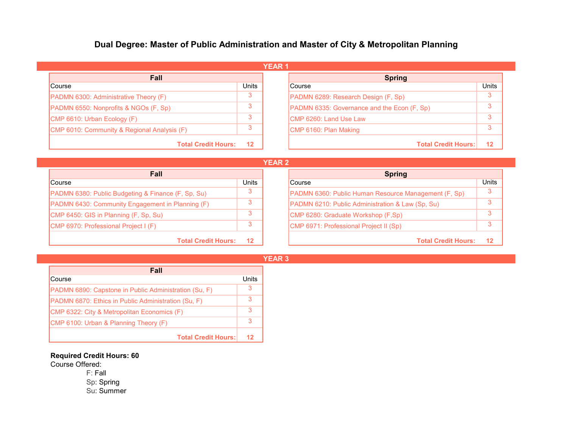## **Dual Degree: Master of Public Administration and Master of City & Metropolitan Planning**

| <b>YEAR1</b>                                 |              |  |                                             |       |  |  |  |
|----------------------------------------------|--------------|--|---------------------------------------------|-------|--|--|--|
| <b>Fall</b>                                  |              |  | <b>Spring</b>                               |       |  |  |  |
| Course                                       | <b>Units</b> |  | Course                                      | Units |  |  |  |
| <b>PADMN 6300: Administrative Theory (F)</b> | 3            |  | PADMN 6289: Research Design (F, Sp)         |       |  |  |  |
| PADMN 6550: Nonprofits & NGOs (F, Sp)        |              |  | PADMN 6335: Governance and the Econ (F, Sp) |       |  |  |  |
| CMP 6610: Urban Ecology (F)                  |              |  | <b>ICMP 6260: Land Use Law</b>              |       |  |  |  |
| CMP 6010: Community & Regional Analysis (F)  |              |  | CMP 6160: Plan Making                       |       |  |  |  |
| <b>Total Credit Hours:</b>                   | $12 \,$      |  | <b>Total Credit Hours:</b>                  | 12    |  |  |  |

**YEAR 2**

| <b>Fall</b>                                                   |         | <b>Spring</b>                                        |       |
|---------------------------------------------------------------|---------|------------------------------------------------------|-------|
| <b>Course</b>                                                 | Units   | Course                                               | Units |
| <b>PADMN 6380: Public Budgeting &amp; Finance (F, Sp, Su)</b> |         | PADMN 6360: Public Human Resource Management (F, Sp) | 3     |
| PADMN 6430: Community Engagement in Planning (F)              |         | PADMN 6210: Public Administration & Law (Sp, Su)     | 3     |
| CMP 6450: GIS in Planning (F, Sp, Su)                         | 3       | CMP 6280: Graduate Workshop (F,Sp)                   | 3     |
| CMP 6970: Professional Project I (F)                          | 3       | CMP 6971: Professional Project II (Sp)               | 3     |
| <b>Total Credit Hours:</b>                                    | $12 \,$ | <b>Total Credit Hours:</b>                           | 12    |

| Fall                                                  |       |  |  |  |
|-------------------------------------------------------|-------|--|--|--|
| Course                                                | Units |  |  |  |
| PADMN 6890: Capstone in Public Administration (Su, F) | 3     |  |  |  |
| PADMN 6870: Ethics in Public Administration (Su, F)   |       |  |  |  |
| CMP 6322: City & Metropolitan Economics (F)           |       |  |  |  |
| CMP 6100: Urban & Planning Theory (F)                 | 3     |  |  |  |
| <b>Total Credit Hours:</b>                            | 12    |  |  |  |

## **Required Credit Hours: 60**

Course Offered:

L.

F: Fall Sp: Spring Su: Summer